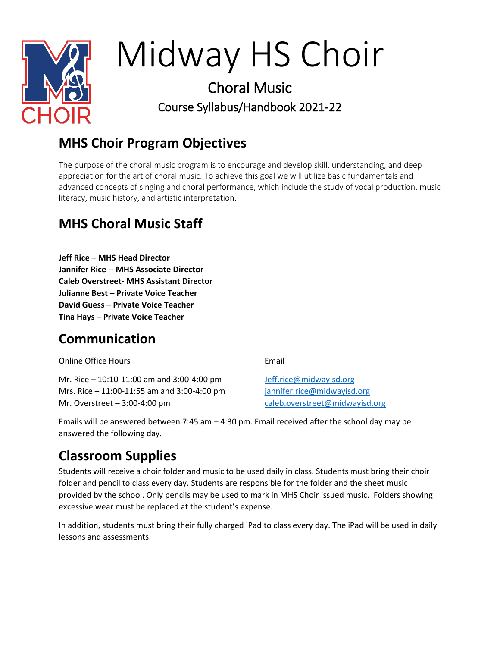

# Midway HS Choir

# Choral Music Course Syllabus/Handbook 2021-22

# **MHS Choir Program Objectives**

The purpose of the choral music program is to encourage and develop skill, understanding, and deep appreciation for the art of choral music. To achieve this goal we will utilize basic fundamentals and advanced concepts of singing and choral performance, which include the study of vocal production, music literacy, music history, and artistic interpretation.

# **MHS Choral Music Staff**

**Jeff Rice – MHS Head Director Jannifer Rice -- MHS Associate Director Caleb Overstreet- MHS Assistant Director Julianne Best – Private Voice Teacher David Guess – Private Voice Teacher Tina Hays – Private Voice Teacher**

# **Communication**

#### Online Office Hours

Mr. Rice – 10:10-11:00 am and 3:00-4:00 pm Mrs. Rice – 11:00-11:55 am and 3:00-4:00 pm Mr. Overstreet – 3:00-4:00 pm

Email

[Jeff.rice@midwayisd.org](mailto:Jeff.rice@midwayisd.org) [jannifer.rice@midwayisd.org](mailto:jannifer.rice@midwayisd.org) [caleb.overstreet@midwayisd.org](mailto:caleb.overstreet@midwayisd.org)

Emails will be answered between 7:45 am – 4:30 pm. Email received after the school day may be answered the following day.

# **Classroom Supplies**

Students will receive a choir folder and music to be used daily in class. Students must bring their choir folder and pencil to class every day. Students are responsible for the folder and the sheet music provided by the school. Only pencils may be used to mark in MHS Choir issued music. Folders showing excessive wear must be replaced at the student's expense.

In addition, students must bring their fully charged iPad to class every day. The iPad will be used in daily lessons and assessments.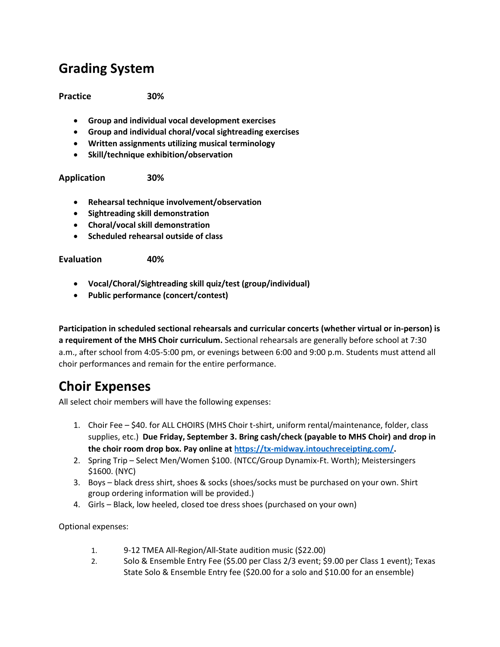#### **Grading System**

**Practice 30%**

- **Group and individual vocal development exercises**
- **Group and individual choral/vocal sightreading exercises**
- **Written assignments utilizing musical terminology**
- **Skill/technique exhibition/observation**

**Application 30%**

- **Rehearsal technique involvement/observation**
- **Sightreading skill demonstration**
- **Choral/vocal skill demonstration**
- **Scheduled rehearsal outside of class**

**Evaluation 40%**

- **Vocal/Choral/Sightreading skill quiz/test (group/individual)**
- **Public performance (concert/contest)**

**Participation in scheduled sectional rehearsals and curricular concerts (whether virtual or in-person) is a requirement of the MHS Choir curriculum.** Sectional rehearsals are generally before school at 7:30 a.m., after school from 4:05-5:00 pm, or evenings between 6:00 and 9:00 p.m. Students must attend all choir performances and remain for the entire performance.

#### **Choir Expenses**

All select choir members will have the following expenses:

- 1. Choir Fee \$40. for ALL CHOIRS (MHS Choir t-shirt, uniform rental/maintenance, folder, class supplies, etc.) **Due Friday, September 3. Bring cash/check (payable to MHS Choir) and drop in the choir room drop box. Pay online a[t https://tx-midway.intouchreceipting.com/.](https://tx-midway.intouchreceipting.com/)**
- 2. Spring Trip Select Men/Women \$100. (NTCC/Group Dynamix-Ft. Worth); Meistersingers \$1600. (NYC)
- 3. Boys black dress shirt, shoes & socks (shoes/socks must be purchased on your own. Shirt group ordering information will be provided.)
- 4. Girls Black, low heeled, closed toe dress shoes (purchased on your own)

Optional expenses:

- 1. 9-12 TMEA All-Region/All-State audition music (\$22.00)
- 2. Solo & Ensemble Entry Fee (\$5.00 per Class 2/3 event; \$9.00 per Class 1 event); Texas State Solo & Ensemble Entry fee (\$20.00 for a solo and \$10.00 for an ensemble)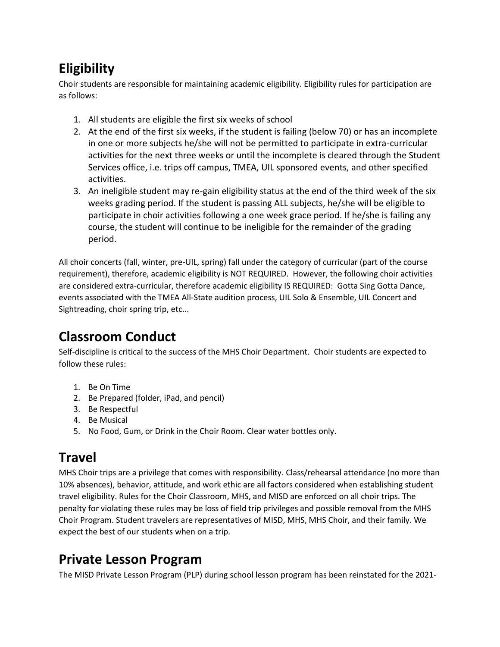# **Eligibility**

Choir students are responsible for maintaining academic eligibility. Eligibility rules for participation are as follows:

- 1. All students are eligible the first six weeks of school
- 2. At the end of the first six weeks, if the student is failing (below 70) or has an incomplete in one or more subjects he/she will not be permitted to participate in extra-curricular activities for the next three weeks or until the incomplete is cleared through the Student Services office, i.e. trips off campus, TMEA, UIL sponsored events, and other specified activities.
- 3. An ineligible student may re-gain eligibility status at the end of the third week of the six weeks grading period. If the student is passing ALL subjects, he/she will be eligible to participate in choir activities following a one week grace period. If he/she is failing any course, the student will continue to be ineligible for the remainder of the grading period.

All choir concerts (fall, winter, pre-UIL, spring) fall under the category of curricular (part of the course requirement), therefore, academic eligibility is NOT REQUIRED. However, the following choir activities are considered extra-curricular, therefore academic eligibility IS REQUIRED: Gotta Sing Gotta Dance, events associated with the TMEA All-State audition process, UIL Solo & Ensemble, UIL Concert and Sightreading, choir spring trip, etc...

# **Classroom Conduct**

Self-discipline is critical to the success of the MHS Choir Department. Choir students are expected to follow these rules:

- 1. Be On Time
- 2. Be Prepared (folder, iPad, and pencil)
- 3. Be Respectful
- 4. Be Musical
- 5. No Food, Gum, or Drink in the Choir Room. Clear water bottles only.

# **Travel**

MHS Choir trips are a privilege that comes with responsibility. Class/rehearsal attendance (no more than 10% absences), behavior, attitude, and work ethic are all factors considered when establishing student travel eligibility. Rules for the Choir Classroom, MHS, and MISD are enforced on all choir trips. The penalty for violating these rules may be loss of field trip privileges and possible removal from the MHS Choir Program. Student travelers are representatives of MISD, MHS, MHS Choir, and their family. We expect the best of our students when on a trip.

#### **Private Lesson Program**

The MISD Private Lesson Program (PLP) during school lesson program has been reinstated for the 2021-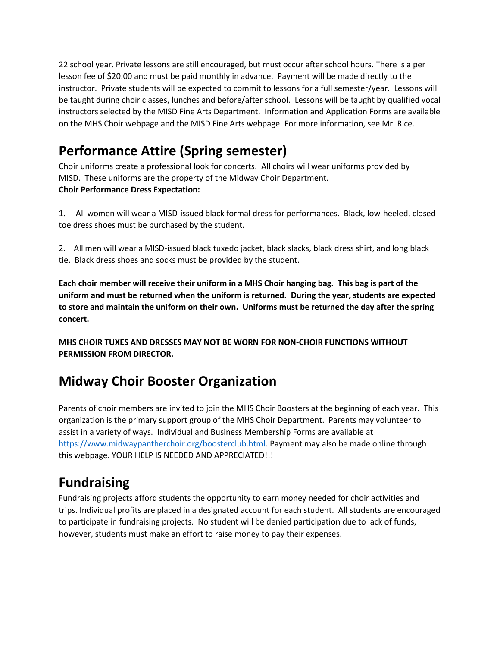22 school year. Private lessons are still encouraged, but must occur after school hours. There is a per lesson fee of \$20.00 and must be paid monthly in advance. Payment will be made directly to the instructor. Private students will be expected to commit to lessons for a full semester/year. Lessons will be taught during choir classes, lunches and before/after school. Lessons will be taught by qualified vocal instructors selected by the MISD Fine Arts Department. Information and Application Forms are available on the MHS Choir webpage and the MISD Fine Arts webpage. For more information, see Mr. Rice.

# **Performance Attire (Spring semester)**

Choir uniforms create a professional look for concerts. All choirs will wear uniforms provided by MISD. These uniforms are the property of the Midway Choir Department. **Choir Performance Dress Expectation:**

1. All women will wear a MISD-issued black formal dress for performances. Black, low-heeled, closedtoe dress shoes must be purchased by the student.

2. All men will wear a MISD-issued black tuxedo jacket, black slacks, black dress shirt, and long black tie. Black dress shoes and socks must be provided by the student.

**Each choir member will receive their uniform in a MHS Choir hanging bag. This bag is part of the uniform and must be returned when the uniform is returned. During the year, students are expected to store and maintain the uniform on their own. Uniforms must be returned the day after the spring concert.**

**MHS CHOIR TUXES AND DRESSES MAY NOT BE WORN FOR NON-CHOIR FUNCTIONS WITHOUT PERMISSION FROM DIRECTOR.**

# **Midway Choir Booster Organization**

Parents of choir members are invited to join the MHS Choir Boosters at the beginning of each year. This organization is the primary support group of the MHS Choir Department. Parents may volunteer to assist in a variety of ways. Individual and Business Membership Forms are available at [https://www.midwaypantherchoir.org/boosterclub.html.](https://www.midwaypantherchoir.org/boosterclub.html) Payment may also be made online through this webpage. YOUR HELP IS NEEDED AND APPRECIATED!!!

# **Fundraising**

Fundraising projects afford students the opportunity to earn money needed for choir activities and trips. Individual profits are placed in a designated account for each student. All students are encouraged to participate in fundraising projects. No student will be denied participation due to lack of funds, however, students must make an effort to raise money to pay their expenses.